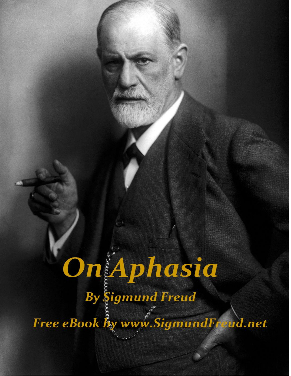# On Aphasia

By Sigmund Freud

Free eBook by www.SigmundFreud.net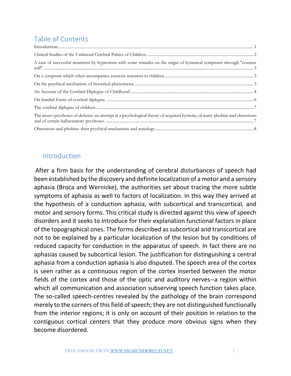# Table of Contents

| A case of successful treatment by hypnotism with some remarks on the origin of hysterical symptoms through "counter       |
|---------------------------------------------------------------------------------------------------------------------------|
|                                                                                                                           |
|                                                                                                                           |
|                                                                                                                           |
|                                                                                                                           |
|                                                                                                                           |
| The neuro-psychoses of defense: an attempt at a psychological theory of acquired hysteria, of many phobias and obsessions |
|                                                                                                                           |

### <span id="page-1-0"></span>Introduction

After a firm basis for the understanding of cerebral disturbances of speech had been established by the discovery and definite localization of a motor and a sensory aphasia (Broca and Wernicke), the authorities set about tracing the more subtle symptoms of aphasia as well to factors of localization. In this way they arrived at the hypothesis of a conduction aphasia, with subcortical and transcortical, and motor and sensory forms. This critical study is directed against this view of speech disorders and it seeks to introduce for their explanation functional factors in place of the topographical ones. The forms described as subcortical and transcortical are not to be explained by a particular localization of the lesion but by conditions of reduced capacity for conduction in the apparatus of speech. In fact there are no aphasias caused by subcortical lesion. The justification for distinguishing a central aphasia from a conduction aphasia is also disputed. The speech area of the cortex is seen rather as a continuous region of the cortex inserted between the motor fields of the cortex and those of the optic and auditory nerves--a region within which all communication and association subserving speech function takes place. The so-called speech-centres revealed by the pathology of the brain correspond merely to the corners of this field of speech; they are not distinguished functionally from the interior regions; it is only on account of their position in relation to the contiguous cortical centers that they produce more obvious signs when they become disordered.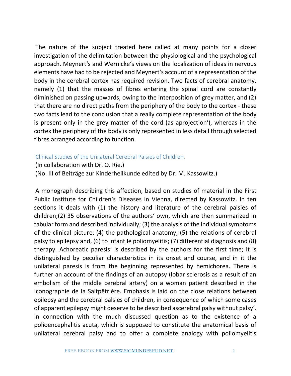The nature of the subject treated here called at many points for a closer investigation of the delimitation between the physiological and the psychological approach. Meynert's and Wernicke's views on the localization of ideas in nervous elements have had to be rejected and Meynert's account of a representation of the body in the cerebral cortex has required revision. Two facts of cerebral anatomy, namely (1) that the masses of fibres entering the spinal cord are constantly diminished on passing upwards, owing to the interposition of grey matter, and (2) that there are no direct paths from the periphery of the body to the cortex - these two facts lead to the conclusion that a really complete representation of the body is present only in the grey matter of the cord (as aprojection'), whereas in the cortex the periphery of the body is only represented in less detail through selected fibres arranged according to function.

#### <span id="page-2-0"></span>Clinical Studies of the Unilateral Cerebral Palsies of Children.

(In collaboration with Dr. O. Rie.) (No. III of Beiträge zur Kinderheilkunde edited by Dr. M. Kassowitz.)

A monograph describing this affection, based on studies of material in the First Public Institute for Children's Diseases in Vienna, directed by Kassowitz. In ten sections it deals with (1) the history and literature of the cerebral palsies of children;(2) 35 observations of the authors' own, which are then summarized in tabular form and described individually; (3) the analysis of the individual symptoms of the clinical picture; (4) the pathological anatomy; (5) the relations of cerebral palsy to epilepsy and, (6) to infantile poliomyelitis; (7) differential diagnosis and (8) therapy. Achoreatic paresis' is described by the authors for the first time; it is distinguished by peculiar characteristics in its onset and course, and in it the unilateral paresis is from the beginning represented by hemichorea. There is further an account of the findings of an autopsy (lobar sclerosis as a result of an embolism of the middle cerebral artery) on a woman patient described in the Iconographie de la Saltpêtrière. Emphasis is laid on the close relations between epilepsy and the cerebral palsies of children, in consequence of which some cases of apparent epilepsy might deserve to be described ascerebral palsy without palsy'. In connection with the much discussed question as to the existence of a polioencephalitis acuta, which is supposed to constitute the anatomical basis of unilateral cerebral palsy and to offer a complete analogy with poliomyelitis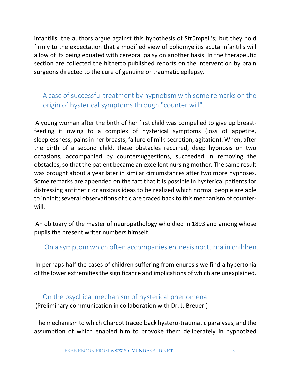infantilis, the authors argue against this hypothesis of Strümpell's; but they hold firmly to the expectation that a modified view of poliomyelitis acuta infantilis will allow of its being equated with cerebral palsy on another basis. In the therapeutic section are collected the hitherto published reports on the intervention by brain surgeons directed to the cure of genuine or traumatic epilepsy.

<span id="page-3-0"></span>A case of successful treatment by hypnotism with some remarks on the origin of hysterical symptoms through "counter will".

A young woman after the birth of her first child was compelled to give up breastfeeding it owing to a complex of hysterical symptoms (loss of appetite, sleeplessness, pains in her breasts, failure of milk-secretion, agitation). When, after the birth of a second child, these obstacles recurred, deep hypnosis on two occasions, accompanied by countersuggestions, succeeded in removing the obstacles, so that the patient became an excellent nursing mother. The same result was brought about a year later in similar circumstances after two more hypnoses. Some remarks are appended on the fact that it is possible in hysterical patients for distressing antithetic or anxious ideas to be realized which normal people are able to inhibit; several observations of tic are traced back to this mechanism of counterwill.

An obituary of the master of neuropathology who died in 1893 and among whose pupils the present writer numbers himself.

#### <span id="page-3-1"></span>On a symptom which often accompanies enuresis nocturna in children.

In perhaps half the cases of children suffering from enuresis we find a hypertonia of the lower extremities the significance and implications of which are unexplained.

#### <span id="page-3-2"></span>On the psychical mechanism of hysterical phenomena.

(Preliminary communication in collaboration with Dr. J. Breuer.)

The mechanism to which Charcot traced back hystero-traumatic paralyses, and the assumption of which enabled him to provoke them deliberately in hypnotized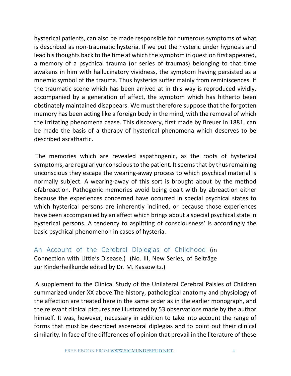hysterical patients, can also be made responsible for numerous symptoms of what is described as non-traumatic hysteria. If we put the hysteric under hypnosis and lead his thoughts back to the time at which the symptom in question first appeared, a memory of a psychical trauma (or series of traumas) belonging to that time awakens in him with hallucinatory vividness, the symptom having persisted as a mnemic symbol of the trauma. Thus hysterics suffer mainly from reminiscences. If the traumatic scene which has been arrived at in this way is reproduced vividly, accompanied by a generation of affect, the symptom which has hitherto been obstinately maintained disappears. We must therefore suppose that the forgotten memory has been acting like a foreign body in the mind, with the removal of which the irritating phenomena cease. This discovery, first made by Breuer in 1881, can be made the basis of a therapy of hysterical phenomena which deserves to be described ascathartic.

The memories which are revealed aspathogenic, as the roots of hysterical symptoms, are regularlyunconscious to the patient. It seems that by thus remaining unconscious they escape the wearing-away process to which psychical material is normally subject. A wearing-away of this sort is brought about by the method ofabreaction. Pathogenic memories avoid being dealt with by abreaction either because the experiences concerned have occurred in special psychical states to which hysterical persons are inherently inclined, or because those experiences have been accompanied by an affect which brings about a special psychical state in hysterical persons. A tendency to asplitting of consciousness' is accordingly the basic psychical phenomenon in cases of hysteria.

<span id="page-4-0"></span>An Account of the Cerebral Diplegias of Childhood (in Connection with Little's Disease.) (No. III, New Series, of Beiträge zur Kinderheilkunde edited by Dr. M. Kassowitz.)

A supplement to the Clinical Study of the Unilateral Cerebral Palsies of Children summarized under XX above.The history, pathological anatomy and physiology of the affection are treated here in the same order as in the earlier monograph, and the relevant clinical pictures are illustrated by 53 observations made by the author himself. It was, however, necessary in addition to take into account the range of forms that must be described ascerebral diplegias and to point out their clinical similarity. In face of the differences of opinion that prevail in the literature of these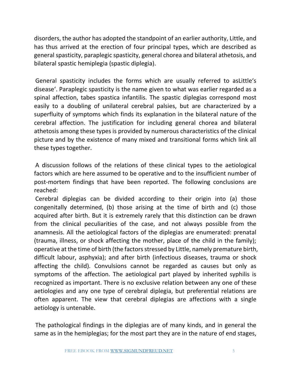disorders, the author has adopted the standpoint of an earlier authority, Little, and has thus arrived at the erection of four principal types, which are described as general spasticity, paraplegic spasticity, general chorea and bilateral athetosis, and bilateral spastic hemiplegia (spastic diplegia).

General spasticity includes the forms which are usually referred to asLittle's disease'. Paraplegic spasticity is the name given to what was earlier regarded as a spinal affection, tabes spastica infantilis. The spastic diplegias correspond most easily to a doubling of unilateral cerebral palsies, but are characterized by a superfluity of symptoms which finds its explanation in the bilateral nature of the cerebral affection. The justification for including general chorea and bilateral athetosis among these types is provided by numerous characteristics of the clinical picture and by the existence of many mixed and transitional forms which link all these types together.

A discussion follows of the relations of these clinical types to the aetiological factors which are here assumed to be operative and to the insufficient number of post-mortem findings that have been reported. The following conclusions are reached:

Cerebral diplegias can be divided according to their origin into (a) those congenitally determined, (b) those arising at the time of birth and (c) those acquired after birth. But it is extremely rarely that this distinction can be drawn from the clinical peculiarities of the case, and not always possible from the anamnesis. All the aetiological factors of the diplegias are enumerated: prenatal (trauma, illness, or shock affecting the mother, place of the child in the family); operative at the time of birth (the factors stressed by Little, namely premature birth, difficult labour, asphyxia); and after birth (infectious diseases, trauma or shock affecting the child). Convulsions cannot be regarded as causes but only as symptoms of the affection. The aetiological part played by inherited syphilis is recognized as important. There is no exclusive relation between any one of these aetiologies and any one type of cerebral diplegia, but preferential relations are often apparent. The view that cerebral diplegias are affections with a single aetiology is untenable.

The pathological findings in the diplegias are of many kinds, and in general the same as in the hemiplegias; for the most part they are in the nature of end stages,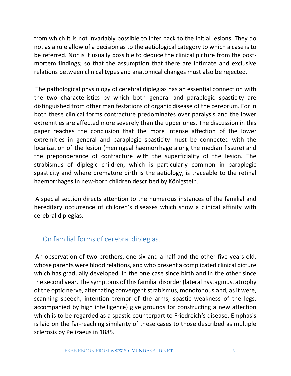from which it is not invariably possible to infer back to the initial lesions. They do not as a rule allow of a decision as to the aetiological category to which a case is to be referred. Nor is it usually possible to deduce the clinical picture from the postmortem findings; so that the assumption that there are intimate and exclusive relations between clinical types and anatomical changes must also be rejected.

The pathological physiology of cerebral diplegias has an essential connection with the two characteristics by which both general and paraplegic spasticity are distinguished from other manifestations of organic disease of the cerebrum. For in both these clinical forms contracture predominates over paralysis and the lower extremities are affected more severely than the upper ones. The discussion in this paper reaches the conclusion that the more intense affection of the lower extremities in general and paraplegic spasticity must be connected with the localization of the lesion (meningeal haemorrhage along the median fissure) and the preponderance of contracture with the superficiality of the lesion. The strabismus of diplegic children, which is particularly common in paraplegic spasticity and where premature birth is the aetiology, is traceable to the retinal haemorrhages in new-born children described by Königstein.

A special section directs attention to the numerous instances of the familial and hereditary occurrence of children's diseases which show a clinical affinity with cerebral diplegias.

# <span id="page-6-0"></span>On familial forms of cerebral diplegias.

An observation of two brothers, one six and a half and the other five years old, whose parents were blood relations, and who present a complicated clinical picture which has gradually developed, in the one case since birth and in the other since the second year. The symptoms of this familial disorder (lateral nystagmus, atrophy of the optic nerve, alternating convergent strabismus, monotonous and, as it were, scanning speech, intention tremor of the arms, spastic weakness of the legs, accompanied by high intelligence) give grounds for constructing a new affection which is to be regarded as a spastic counterpart to Friedreich's disease. Emphasis is laid on the far-reaching similarity of these cases to those described as multiple sclerosis by Pelizaeus in 1885.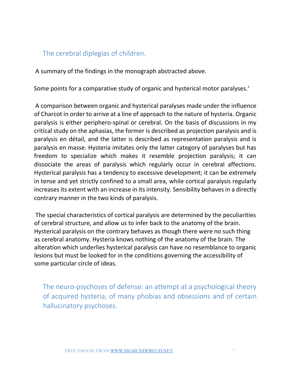# <span id="page-7-0"></span>The cerebral diplegias of children.

A summary of the findings in the monograph abstracted above.

Some points for a comparative study of organic and hysterical motor paralyses.'

A comparison between organic and hysterical paralyses made under the influence of Charcot in order to arrive at a line of approach to the nature of hysteria. Organic paralysis is either periphero-spinal or cerebral. On the basis of discussions in my critical study on the aphasias, the former is described as projection paralysis and is paralysis en détail, and the latter is described as representation paralysis and is paralysis en masse. Hysteria imitates only the latter category of paralyses but has freedom to specialize which makes it resemble projection paralysis; it can dissociate the areas of paralysis which regularly occur in cerebral affections. Hysterical paralysis has a tendency to excessive development; it can be extremely in tense and yet strictly confined to a small area, while cortical paralysis regularly increases its extent with an increase in its intensity. Sensibility behaves in a directly contrary manner in the two kinds of paralysis.

The special characteristics of cortical paralysis are determined by the peculiarities of cerebral structure, and allow us to infer back to the anatomy of the brain. Hysterical paralysis on the contrary behaves as though there were no such thing as cerebral anatomy. Hysteria knows nothing of the anatomy of the brain. The alteration which underlies hysterical paralysis can have no resemblance to organic lesions but must be looked for in the conditions governing the accessibility of some particular circle of ideas.

<span id="page-7-1"></span>The neuro-psychoses of defense: an attempt at a psychological theory of acquired hysteria, of many phobias and obsessions and of certain hallucinatory psychoses.